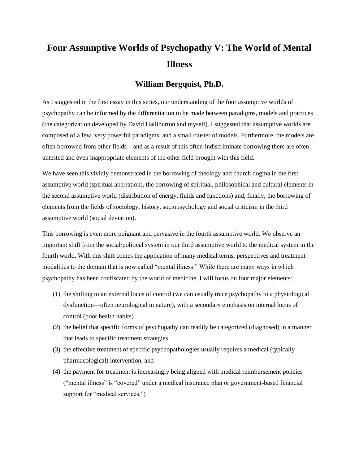# **Four Assumptive Worlds of Psychopathy V: The World of Mental Illness**

# **William Bergquist, Ph.D.**

As I suggested in the first essay in this series, our understanding of the four assumptive worlds of psychopathy can be informed by the differentiation to be made between paradigms, models and practices (the categorization developed by David Halliburton and myself). I suggested that assumptive worlds are composed of a few, very powerful paradigms, and a small cluster of models. Furthermore, the models are often borrowed from other fields—and as a result of this often-indiscriminate borrowing there are often untested and even inappropriate elements of the other field brought with this field.

We have seen this vividly demonstrated in the borrowing of theology and church dogma in the first assumptive world (spiritual aberration), the borrowing of spiritual, philosophical and cultural elements in the second assumptive world (distribution of energy, fluids and functions) and, finally, the borrowing of elements from the fields of sociology, history, sociopsychology and social criticism in the third assumptive world (social deviation).

This borrowing is even more poignant and pervasive in the fourth assumptive world. We observe an important shift from the social/political system in our third assumptive world to the medical system in the fourth world. With this shift comes the application of many medical terms, perspectives and treatment modalities to the domain that is now called "mental illness." While there are many ways in which psychopathy has been confiscated by the world of medicine, I will focus on four major elements:

- (1) the shifting to an external locus of control (we can usually trace psychopathy to a physiological dysfunction—often neurological in nature), with a secondary emphasis on internal locus of control (poor health habits)
- (2) the belief that specific forms of psychopathy can readily be categorized (diagnosed) in a manner that leads to specific treatment strategies
- (3) the effective treatment of specific psychopathologies usually requires a medical (typically pharmacological) intervention, and
- (4) the payment for treatment is increasingly being aligned with medical reimbursement policies ("mental illness" is "covered" under a medical insurance plan or government-based financial support for "medical services.")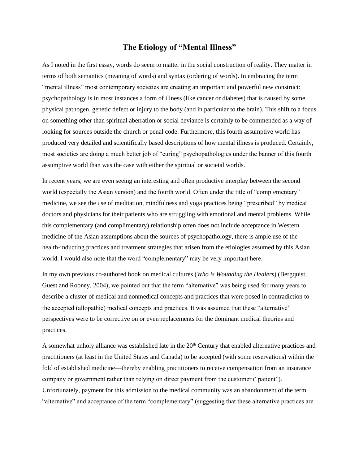# **The Etiology of "Mental Illness"**

As I noted in the first essay, words do seem to matter in the social construction of reality. They matter in terms of both semantics (meaning of words) and syntax (ordering of words). In embracing the term "mental illness" most contemporary societies are creating an important and powerful new construct: psychopathology is in most instances a form of illness (like cancer or diabetes) that is caused by some physical pathogen, genetic defect or injury to the body (and in particular to the brain). This shift to a focus on something other than spiritual aberration or social deviance is certainly to be commended as a way of looking for sources outside the church or penal code. Furthermore, this fourth assumptive world has produced very detailed and scientifically based descriptions of how mental illness is produced. Certainly, most societies are doing a much better job of "curing" psychopathologies under the banner of this fourth assumptive world than was the case with either the spiritual or societal worlds.

In recent years, we are even seeing an interesting and often productive interplay between the second world (especially the Asian version) and the fourth world. Often under the title of "complementary" medicine, we see the use of meditation, mindfulness and yoga practices being "prescribed" by medical doctors and physicians for their patients who are struggling with emotional and mental problems. While this complementary (and complimentary) relationship often does not include acceptance in Western medicine of the Asian assumptions about the sources of psychopathology, there is ample use of the health-inducting practices and treatment strategies that arisen from the etiologies assumed by this Asian world. I would also note that the word "complementary" may be very important here.

In my own previous co-authored book on medical cultures (*Who is Wounding the Healers*) (Bergquist, Guest and Rooney, 2004), we pointed out that the term "alternative" was being used for many years to describe a cluster of medical and nonmedical concepts and practices that were posed in contradiction to the accepted (allopathic) medical concepts and practices. It was assumed that these "alternative" perspectives were to be corrective on or even replacements for the dominant medical theories and practices.

A somewhat unholy alliance was established late in the  $20<sup>th</sup>$  Century that enabled alternative practices and practitioners (at least in the United States and Canada) to be accepted (with some reservations) within the fold of established medicine—thereby enabling practitioners to receive compensation from an insurance company or government rather than relying on direct payment from the customer ("patient"). Unfortunately, payment for this admission to the medical community was an abandonment of the term "alternative" and acceptance of the term "complementary" (suggesting that these alternative practices are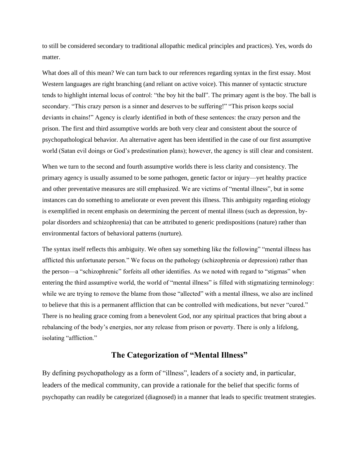to still be considered secondary to traditional allopathic medical principles and practices). Yes, words do matter.

What does all of this mean? We can turn back to our references regarding syntax in the first essay. Most Western languages are right branching (and reliant on active voice). This manner of syntactic structure tends to highlight internal locus of control: "the boy hit the ball". The primary agent is the boy. The ball is secondary. "This crazy person is a sinner and deserves to be suffering!" "This prison keeps social deviants in chains!" Agency is clearly identified in both of these sentences: the crazy person and the prison. The first and third assumptive worlds are both very clear and consistent about the source of psychopathological behavior. An alternative agent has been identified in the case of our first assumptive world (Satan evil doings or God's predestination plans); however, the agency is still clear and consistent.

When we turn to the second and fourth assumptive worlds there is less clarity and consistency. The primary agency is usually assumed to be some pathogen, genetic factor or injury—yet healthy practice and other preventative measures are still emphasized. We are victims of "mental illness", but in some instances can do something to ameliorate or even prevent this illness. This ambiguity regarding etiology is exemplified in recent emphasis on determining the percent of mental illness (such as depression, bypolar disorders and schizophrenia) that can be attributed to generic predispositions (nature) rather than environmental factors of behavioral patterns (nurture).

The syntax itself reflects this ambiguity. We often say something like the following" "mental illness has afflicted this unfortunate person." We focus on the pathology (schizophrenia or depression) rather than the person—a "schizophrenic" forfeits all other identifies. As we noted with regard to "stigmas" when entering the third assumptive world, the world of "mental illness" is filled with stigmatizing terminology: while we are trying to remove the blame from those "allected" with a mental illness, we also are inclined to believe that this is a permanent affliction that can be controlled with medications, but never "cured." There is no healing grace coming from a benevolent God, nor any spiritual practices that bring about a rebalancing of the body's energies, nor any release from prison or poverty. There is only a lifelong, isolating "affliction."

## **The Categorization of "Mental Illness"**

By defining psychopathology as a form of "illness", leaders of a society and, in particular, leaders of the medical community, can provide a rationale for the belief that specific forms of psychopathy can readily be categorized (diagnosed) in a manner that leads to specific treatment strategies.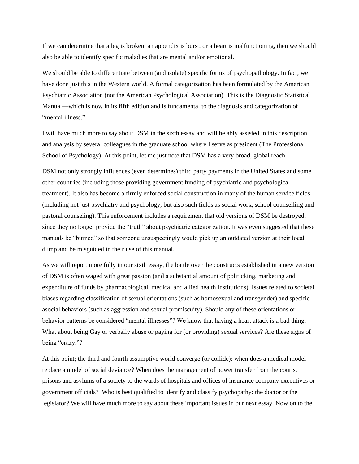If we can determine that a leg is broken, an appendix is burst, or a heart is malfunctioning, then we should also be able to identify specific maladies that are mental and/or emotional.

We should be able to differentiate between (and isolate) specific forms of psychopathology. In fact, we have done just this in the Western world. A formal categorization has been formulated by the American Psychiatric Association (not the American Psychological Association). This is the Diagnostic Statistical Manual—which is now in its fifth edition and is fundamental to the diagnosis and categorization of "mental illness."

I will have much more to say about DSM in the sixth essay and will be ably assisted in this description and analysis by several colleagues in the graduate school where I serve as president (The Professional School of Psychology). At this point, let me just note that DSM has a very broad, global reach.

DSM not only strongly influences (even determines) third party payments in the United States and some other countries (including those providing government funding of psychiatric and psychological treatment). It also has become a firmly enforced social construction in many of the human service fields (including not just psychiatry and psychology, but also such fields as social work, school counselling and pastoral counseling). This enforcement includes a requirement that old versions of DSM be destroyed, since they no longer provide the "truth" about psychiatric categorization. It was even suggested that these manuals be "burned" so that someone unsuspectingly would pick up an outdated version at their local dump and be misguided in their use of this manual.

As we will report more fully in our sixth essay, the battle over the constructs established in a new version of DSM is often waged with great passion (and a substantial amount of politicking, marketing and expenditure of funds by pharmacological, medical and allied health institutions). Issues related to societal biases regarding classification of sexual orientations (such as homosexual and transgender) and specific asocial behaviors (such as aggression and sexual promiscuity). Should any of these orientations or behavior patterns be considered "mental illnesses"? We know that having a heart attack is a bad thing. What about being Gay or verbally abuse or paying for (or providing) sexual services? Are these signs of being "crazy."?

At this point; the third and fourth assumptive world converge (or collide): when does a medical model replace a model of social deviance? When does the management of power transfer from the courts, prisons and asylums of a society to the wards of hospitals and offices of insurance company executives or government officials? Who is best qualified to identify and classify psychopathy: the doctor or the legislator? We will have much more to say about these important issues in our next essay. Now on to the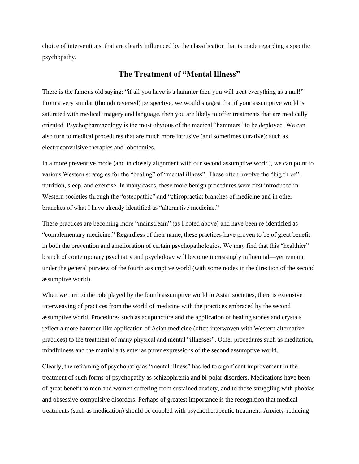choice of interventions, that are clearly influenced by the classification that is made regarding a specific psychopathy.

## **The Treatment of "Mental Illness"**

There is the famous old saying: "if all you have is a hammer then you will treat everything as a nail!" From a very similar (though reversed) perspective, we would suggest that if your assumptive world is saturated with medical imagery and language, then you are likely to offer treatments that are medically oriented. Psychopharmacology is the most obvious of the medical "hammers" to be deployed. We can also turn to medical procedures that are much more intrusive (and sometimes curative): such as electroconvulsive therapies and lobotomies.

In a more preventive mode (and in closely alignment with our second assumptive world), we can point to various Western strategies for the "healing" of "mental illness". These often involve the "big three": nutrition, sleep, and exercise. In many cases, these more benign procedures were first introduced in Western societies through the "osteopathic" and "chiropractic: branches of medicine and in other branches of what I have already identified as "alternative medicine."

These practices are becoming more "mainstream" (as I noted above) and have been re-identified as "complementary medicine." Regardless of their name, these practices have proven to be of great benefit in both the prevention and amelioration of certain psychopathologies. We may find that this "healthier" branch of contemporary psychiatry and psychology will become increasingly influential—yet remain under the general purview of the fourth assumptive world (with some nodes in the direction of the second assumptive world).

When we turn to the role played by the fourth assumptive world in Asian societies, there is extensive interweaving of practices from the world of medicine with the practices embraced by the second assumptive world. Procedures such as acupuncture and the application of healing stones and crystals reflect a more hammer-like application of Asian medicine (often interwoven with Western alternative practices) to the treatment of many physical and mental "illnesses". Other procedures such as meditation, mindfulness and the martial arts enter as purer expressions of the second assumptive world.

Clearly, the reframing of psychopathy as "mental illness" has led to significant improvement in the treatment of such forms of psychopathy as schizophrenia and bi-polar disorders. Medications have been of great benefit to men and women suffering from sustained anxiety, and to those struggling with phobias and obsessive-compulsive disorders. Perhaps of greatest importance is the recognition that medical treatments (such as medication) should be coupled with psychotherapeutic treatment. Anxiety-reducing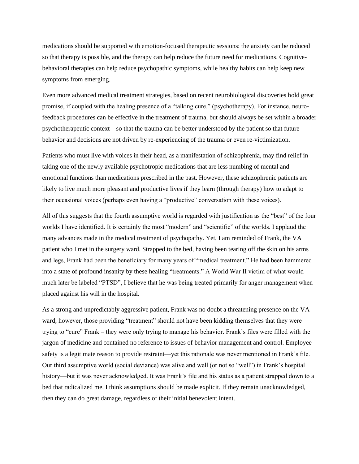medications should be supported with emotion-focused therapeutic sessions: the anxiety can be reduced so that therapy is possible, and the therapy can help reduce the future need for medications. Cognitivebehavioral therapies can help reduce psychopathic symptoms, while healthy habits can help keep new symptoms from emerging.

Even more advanced medical treatment strategies, based on recent neurobiological discoveries hold great promise, if coupled with the healing presence of a "talking cure." (psychotherapy). For instance, neurofeedback procedures can be effective in the treatment of trauma, but should always be set within a broader psychotherapeutic context—so that the trauma can be better understood by the patient so that future behavior and decisions are not driven by re-experiencing of the trauma or even re-victimization.

Patients who must live with voices in their head, as a manifestation of schizophrenia, may find relief in taking one of the newly available psychotropic medications that are less numbing of mental and emotional functions than medications prescribed in the past. However, these schizophrenic patients are likely to live much more pleasant and productive lives if they learn (through therapy) how to adapt to their occasional voices (perhaps even having a "productive" conversation with these voices).

All of this suggests that the fourth assumptive world is regarded with justification as the "best" of the four worlds I have identified. It is certainly the most "modern" and "scientific" of the worlds. I applaud the many advances made in the medical treatment of psychopathy. Yet, I am reminded of Frank, the VA patient who I met in the surgery ward. Strapped to the bed, having been tearing off the skin on his arms and legs, Frank had been the beneficiary for many years of "medical treatment." He had been hammered into a state of profound insanity by these healing "treatments." A World War II victim of what would much later be labeled "PTSD", I believe that he was being treated primarily for anger management when placed against his will in the hospital.

As a strong and unpredictably aggressive patient, Frank was no doubt a threatening presence on the VA ward; however, those providing "treatment" should not have been kidding themselves that they were trying to "cure" Frank – they were only trying to manage his behavior. Frank's files were filled with the jargon of medicine and contained no reference to issues of behavior management and control. Employee safety is a legitimate reason to provide restraint—yet this rationale was never mentioned in Frank's file. Our third assumptive world (social deviance) was alive and well (or not so "well") in Frank's hospital history—but it was never acknowledged. It was Frank's file and his status as a patient strapped down to a bed that radicalized me. I think assumptions should be made explicit. If they remain unacknowledged, then they can do great damage, regardless of their initial benevolent intent.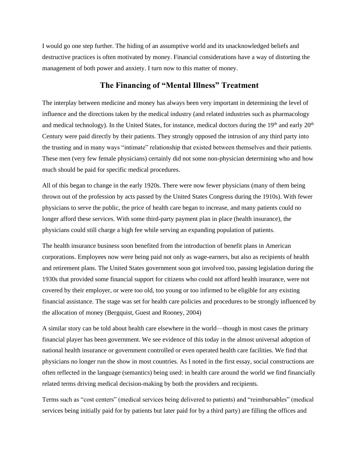I would go one step further. The hiding of an assumptive world and its unacknowledged beliefs and destructive practices is often motivated by money. Financial considerations have a way of distorting the management of both power and anxiety. I turn now to this matter of money.

# **The Financing of "Mental Illness" Treatment**

The interplay between medicine and money has always been very important in determining the level of influence and the directions taken by the medical industry (and related industries such as pharmacology and medical technology). In the United States, for instance, medical doctors during the  $19<sup>th</sup>$  and early  $20<sup>th</sup>$ Century were paid directly by their patients. They strongly opposed the intrusion of any third party into the trusting and in many ways "intimate" relationship that existed between themselves and their patients. These men (very few female physicians) certainly did not some non-physician determining who and how much should be paid for specific medical procedures.

All of this began to change in the early 1920s. There were now fewer physicians (many of them being thrown out of the profession by acts passed by the United States Congress during the 1910s). With fewer physicians to serve the public, the price of health care began to increase, and many patients could no longer afford these services. With some third-party payment plan in place (health insurance), the physicians could still charge a high fee while serving an expanding population of patients.

The health insurance business soon benefited from the introduction of benefit plans in American corporations. Employees now were being paid not only as wage-earners, but also as recipients of health and retirement plans. The United States government soon got involved too, passing legislation during the 1930s that provided some financial support for citizens who could not afford health insurance, were not covered by their employer, or were too old, too young or too infirmed to be eligible for any existing financial assistance. The stage was set for health care policies and procedures to be strongly influenced by the allocation of money (Bergquist, Guest and Rooney, 2004)

A similar story can be told about health care elsewhere in the world—though in most cases the primary financial player has been government. We see evidence of this today in the almost universal adoption of national health insurance or government controlled or even operated health care facilities. We find that physicians no longer run the show in most countries. As I noted in the first essay, social constructions are often reflected in the language (semantics) being used: in health care around the world we find financially related terms driving medical decision-making by both the providers and recipients.

Terms such as "cost centers" (medical services being delivered to patients) and "reimbursables" (medical services being initially paid for by patients but later paid for by a third party) are filling the offices and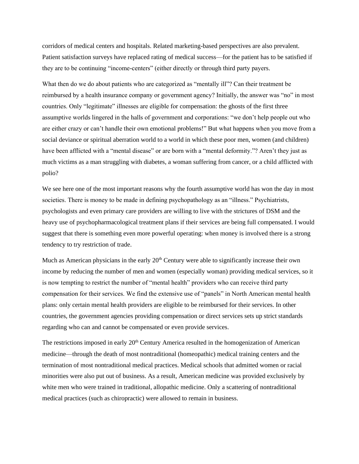corridors of medical centers and hospitals. Related marketing-based perspectives are also prevalent. Patient satisfaction surveys have replaced rating of medical success—for the patient has to be satisfied if they are to be continuing "income-centers" (either directly or through third party payers.

What then do we do about patients who are categorized as "mentally ill"? Can their treatment be reimbursed by a health insurance company or government agency? Initially, the answer was "no" in most countries. Only "legitimate" illnesses are eligible for compensation: the ghosts of the first three assumptive worlds lingered in the halls of government and corporations: "we don't help people out who are either crazy or can't handle their own emotional problems!" But what happens when you move from a social deviance or spiritual aberration world to a world in which these poor men, women (and children) have been afflicted with a "mental disease" or are born with a "mental deformity."? Aren't they just as much victims as a man struggling with diabetes, a woman suffering from cancer, or a child afflicted with polio?

We see here one of the most important reasons why the fourth assumptive world has won the day in most societies. There is money to be made in defining psychopathology as an "illness." Psychiatrists, psychologists and even primary care providers are willing to live with the strictures of DSM and the heavy use of psychopharmacological treatment plans if their services are being full compensated. I would suggest that there is something even more powerful operating: when money is involved there is a strong tendency to try restriction of trade.

Much as American physicians in the early  $20<sup>th</sup>$  Century were able to significantly increase their own income by reducing the number of men and women (especially woman) providing medical services, so it is now tempting to restrict the number of "mental health" providers who can receive third party compensation for their services. We find the extensive use of "panels" in North American mental health plans: only certain mental health providers are eligible to be reimbursed for their services. In other countries, the government agencies providing compensation or direct services sets up strict standards regarding who can and cannot be compensated or even provide services.

The restrictions imposed in early 20<sup>th</sup> Century America resulted in the homogenization of American medicine—through the death of most nontraditional (homeopathic) medical training centers and the termination of most nontraditional medical practices. Medical schools that admitted women or racial minorities were also put out of business. As a result, American medicine was provided exclusively by white men who were trained in traditional, allopathic medicine. Only a scattering of nontraditional medical practices (such as chiropractic) were allowed to remain in business.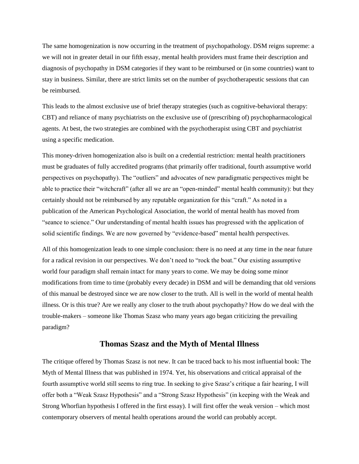The same homogenization is now occurring in the treatment of psychopathology. DSM reigns supreme: a we will not in greater detail in our fifth essay, mental health providers must frame their description and diagnosis of psychopathy in DSM categories if they want to be reimbursed or (in some countries) want to stay in business. Similar, there are strict limits set on the number of psychotherapeutic sessions that can be reimbursed.

This leads to the almost exclusive use of brief therapy strategies (such as cognitive-behavioral therapy: CBT) and reliance of many psychiatrists on the exclusive use of (prescribing of) psychopharmacological agents. At best, the two strategies are combined with the psychotherapist using CBT and psychiatrist using a specific medication.

This money-driven homogenization also is built on a credential restriction: mental health practitioners must be graduates of fully accredited programs (that primarily offer traditional, fourth assumptive world perspectives on psychopathy). The "outliers" and advocates of new paradigmatic perspectives might be able to practice their "witchcraft" (after all we are an "open-minded" mental health community): but they certainly should not be reimbursed by any reputable organization for this "craft." As noted in a publication of the American Psychological Association, the world of mental health has moved from "seance to science." Our understanding of mental health issues has progressed with the application of solid scientific findings. We are now governed by "evidence-based" mental health perspectives.

All of this homogenization leads to one simple conclusion: there is no need at any time in the near future for a radical revision in our perspectives. We don't need to "rock the boat." Our existing assumptive world four paradigm shall remain intact for many years to come. We may be doing some minor modifications from time to time (probably every decade) in DSM and will be demanding that old versions of this manual be destroyed since we are now closer to the truth. All is well in the world of mental health illness. Or is this true? Are we really any closer to the truth about psychopathy? How do we deal with the trouble-makers – someone like Thomas Szasz who many years ago began criticizing the prevailing paradigm?

#### **Thomas Szasz and the Myth of Mental Illness**

The critique offered by Thomas Szasz is not new. It can be traced back to his most influential book: The Myth of Mental Illness that was published in 1974. Yet, his observations and critical appraisal of the fourth assumptive world still seems to ring true. In seeking to give Szasz's critique a fair hearing, I will offer both a "Weak Szasz Hypothesis" and a "Strong Szasz Hypothesis" (in keeping with the Weak and Strong Whorfian hypothesis I offered in the first essay). I will first offer the weak version – which most contemporary observers of mental health operations around the world can probably accept.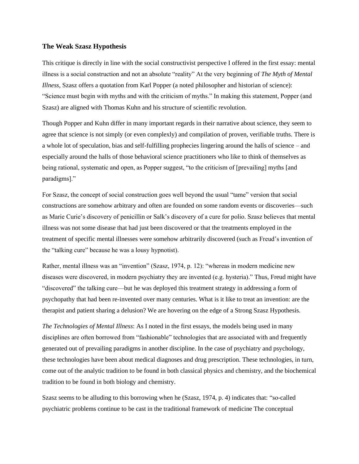#### **The Weak Szasz Hypothesis**

This critique is directly in line with the social constructivist perspective I offered in the first essay: mental illness is a social construction and not an absolute "reality" At the very beginning of *The Myth of Mental Illness*, Szasz offers a quotation from Karl Popper (a noted philosopher and historian of science): "Science must begin with myths and with the criticism of myths." In making this statement, Popper (and Szasz) are aligned with Thomas Kuhn and his structure of scientific revolution.

Though Popper and Kuhn differ in many important regards in their narrative about science, they seem to agree that science is not simply (or even complexly) and compilation of proven, verifiable truths. There is a whole lot of speculation, bias and self-fulfilling prophecies lingering around the halls of science – and especially around the halls of those behavioral science practitioners who like to think of themselves as being rational, systematic and open, as Popper suggest, "to the criticism of [prevailing] myths [and paradigms]."

For Szasz, the concept of social construction goes well beyond the usual "tame" version that social constructions are somehow arbitrary and often are founded on some random events or discoveries—such as Marie Curie's discovery of penicillin or Salk's discovery of a cure for polio. Szasz believes that mental illness was not some disease that had just been discovered or that the treatments employed in the treatment of specific mental illnesses were somehow arbitrarily discovered (such as Freud's invention of the "talking cure" because he was a lousy hypnotist).

Rather, mental illness was an "invention" (Szasz, 1974, p. 12): "whereas in modern medicine new diseases were discovered, in modern psychiatry they are invented (e.g. hysteria)." Thus, Freud might have "discovered" the talking cure—but he was deployed this treatment strategy in addressing a form of psychopathy that had been re-invented over many centuries. What is it like to treat an invention: are the therapist and patient sharing a delusion? We are hovering on the edge of a Strong Szasz Hypothesis.

*The Technologies of Mental Illness*: As I noted in the first essays, the models being used in many disciplines are often borrowed from "fashionable" technologies that are associated with and frequently generated out of prevailing paradigms in another discipline. In the case of psychiatry and psychology, these technologies have been about medical diagnoses and drug prescription. These technologies, in turn, come out of the analytic tradition to be found in both classical physics and chemistry, and the biochemical tradition to be found in both biology and chemistry.

Szasz seems to be alluding to this borrowing when he (Szasz, 1974, p. 4) indicates that: "so-called psychiatric problems continue to be cast in the traditional framework of medicine The conceptual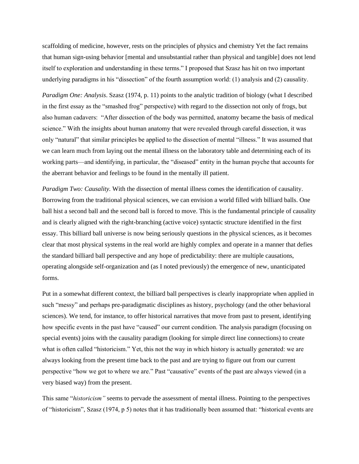scaffolding of medicine, however, rests on the principles of physics and chemistry Yet the fact remains that human sign-using behavior [mental and unsubstantial rather than physical and tangible] does not lend itself to exploration and understanding in these terms." I proposed that Szasz has hit on two important underlying paradigms in his "dissection" of the fourth assumption world: (1) analysis and (2) causality.

*Paradigm One: Analysis*. Szasz (1974, p. 11) points to the analytic tradition of biology (what I described in the first essay as the "smashed frog" perspective) with regard to the dissection not only of frogs, but also human cadavers: "After dissection of the body was permitted, anatomy became the basis of medical science." With the insights about human anatomy that were revealed through careful dissection, it was only "natural" that similar principles be applied to the dissection of mental "illness." It was assumed that we can learn much from laying out the mental illness on the laboratory table and determining each of its working parts—and identifying, in particular, the "diseased" entity in the human psyche that accounts for the aberrant behavior and feelings to be found in the mentally ill patient.

*Paradigm Two: Causality.* With the dissection of mental illness comes the identification of causality. Borrowing from the traditional physical sciences, we can envision a world filled with billiard balls. One ball hist a second ball and the second ball is forced to move. This is the fundamental principle of causality and is clearly aligned with the right-branching (active voice) syntactic structure identified in the first essay. This billiard ball universe is now being seriously questions in the physical sciences, as it becomes clear that most physical systems in the real world are highly complex and operate in a manner that defies the standard billiard ball perspective and any hope of predictability: there are multiple causations, operating alongside self-organization and (as I noted previously) the emergence of new, unanticipated forms.

Put in a somewhat different context, the billiard ball perspectives is clearly inappropriate when applied in such "messy" and perhaps pre-paradigmatic disciplines as history, psychology (and the other behavioral sciences). We tend, for instance, to offer historical narratives that move from past to present, identifying how specific events in the past have "caused" our current condition. The analysis paradigm (focusing on special events) joins with the causality paradigm (looking for simple direct line connections) to create what is often called "historicism." Yet, this not the way in which history is actually generated: we are always looking from the present time back to the past and are trying to figure out from our current perspective "how we got to where we are." Past "causative" events of the past are always viewed (in a very biased way) from the present.

This same "*historicism"* seems to pervade the assessment of mental illness. Pointing to the perspectives of "historicism", Szasz (1974, p 5) notes that it has traditionally been assumed that: "historical events are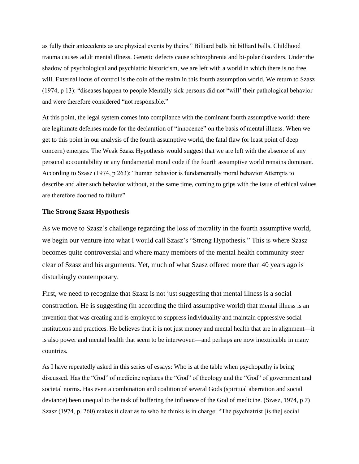as fully their antecedents as are physical events by theirs." Billiard balls hit billiard balls. Childhood trauma causes adult mental illness. Genetic defects cause schizophrenia and bi-polar disorders. Under the shadow of psychological and psychiatric historicism, we are left with a world in which there is no free will. External locus of control is the coin of the realm in this fourth assumption world. We return to Szasz (1974, p 13): "diseases happen to people Mentally sick persons did not "will' their pathological behavior and were therefore considered "not responsible."

At this point, the legal system comes into compliance with the dominant fourth assumptive world: there are legitimate defenses made for the declaration of "innocence" on the basis of mental illness. When we get to this point in our analysis of the fourth assumptive world, the fatal flaw (or least point of deep concern) emerges. The Weak Szasz Hypothesis would suggest that we are left with the absence of any personal accountability or any fundamental moral code if the fourth assumptive world remains dominant. According to Szasz (1974, p 263): "human behavior is fundamentally moral behavior Attempts to describe and alter such behavior without, at the same time, coming to grips with the issue of ethical values are therefore doomed to failure"

#### **The Strong Szasz Hypothesis**

As we move to Szasz's challenge regarding the loss of morality in the fourth assumptive world, we begin our venture into what I would call Szasz's "Strong Hypothesis." This is where Szasz becomes quite controversial and where many members of the mental health community steer clear of Szasz and his arguments. Yet, much of what Szasz offered more than 40 years ago is disturbingly contemporary.

First, we need to recognize that Szasz is not just suggesting that mental illness is a social construction. He is suggesting (in according the third assumptive world) that mental illness is an invention that was creating and is employed to suppress individuality and maintain oppressive social institutions and practices. He believes that it is not just money and mental health that are in alignment—it is also power and mental health that seem to be interwoven—and perhaps are now inextricable in many countries.

As I have repeatedly asked in this series of essays: Who is at the table when psychopathy is being discussed. Has the "God" of medicine replaces the "God" of theology and the "God" of government and societal norms. Has even a combination and coalition of several Gods (spiritual aberration and social deviance) been unequal to the task of buffering the influence of the God of medicine. (Szasz, 1974, p 7) Szasz (1974, p. 260) makes it clear as to who he thinks is in charge: "The psychiatrist [is the] social